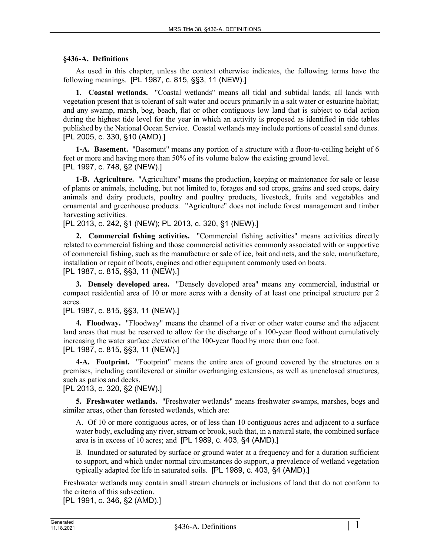#### **§436-A. Definitions**

As used in this chapter, unless the context otherwise indicates, the following terms have the following meanings. [PL 1987, c. 815, §§3, 11 (NEW).]

**1. Coastal wetlands.** "Coastal wetlands" means all tidal and subtidal lands; all lands with vegetation present that is tolerant of salt water and occurs primarily in a salt water or estuarine habitat; and any swamp, marsh, bog, beach, flat or other contiguous low land that is subject to tidal action during the highest tide level for the year in which an activity is proposed as identified in tide tables published by the National Ocean Service. Coastal wetlands may include portions of coastal sand dunes. [PL 2005, c. 330, §10 (AMD).]

**1-A. Basement.** "Basement" means any portion of a structure with a floor-to-ceiling height of 6 feet or more and having more than 50% of its volume below the existing ground level. [PL 1997, c. 748, §2 (NEW).]

**1-B. Agriculture.** "Agriculture" means the production, keeping or maintenance for sale or lease of plants or animals, including, but not limited to, forages and sod crops, grains and seed crops, dairy animals and dairy products, poultry and poultry products, livestock, fruits and vegetables and ornamental and greenhouse products. "Agriculture" does not include forest management and timber harvesting activities.

[PL 2013, c. 242, §1 (NEW); PL 2013, c. 320, §1 (NEW).]

**2. Commercial fishing activities.** "Commercial fishing activities" means activities directly related to commercial fishing and those commercial activities commonly associated with or supportive of commercial fishing, such as the manufacture or sale of ice, bait and nets, and the sale, manufacture, installation or repair of boats, engines and other equipment commonly used on boats.

[PL 1987, c. 815, §§3, 11 (NEW).]

**3. Densely developed area.** "Densely developed area" means any commercial, industrial or compact residential area of 10 or more acres with a density of at least one principal structure per 2 acres.

[PL 1987, c. 815, §§3, 11 (NEW).]

**4. Floodway.** "Floodway" means the channel of a river or other water course and the adjacent land areas that must be reserved to allow for the discharge of a 100-year flood without cumulatively increasing the water surface elevation of the 100-year flood by more than one foot. [PL 1987, c. 815, §§3, 11 (NEW).]

**4-A. Footprint.** "Footprint" means the entire area of ground covered by the structures on a premises, including cantilevered or similar overhanging extensions, as well as unenclosed structures, such as patios and decks.

[PL 2013, c. 320, §2 (NEW).]

**5. Freshwater wetlands.** "Freshwater wetlands" means freshwater swamps, marshes, bogs and similar areas, other than forested wetlands, which are:

A. Of 10 or more contiguous acres, or of less than 10 contiguous acres and adjacent to a surface water body, excluding any river, stream or brook, such that, in a natural state, the combined surface area is in excess of 10 acres; and [PL 1989, c. 403, §4 (AMD).]

B. Inundated or saturated by surface or ground water at a frequency and for a duration sufficient to support, and which under normal circumstances do support, a prevalence of wetland vegetation typically adapted for life in saturated soils. [PL 1989, c. 403, §4 (AMD).]

Freshwater wetlands may contain small stream channels or inclusions of land that do not conform to the criteria of this subsection.

[PL 1991, c. 346, §2 (AMD).]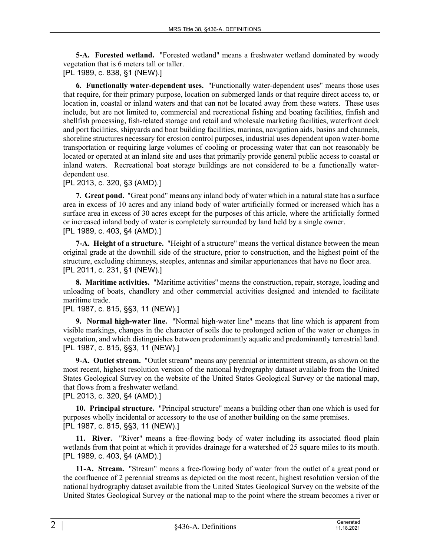**5-A. Forested wetland.** "Forested wetland" means a freshwater wetland dominated by woody vegetation that is 6 meters tall or taller.

[PL 1989, c. 838, §1 (NEW).]

**6. Functionally water-dependent uses.** "Functionally water-dependent uses" means those uses that require, for their primary purpose, location on submerged lands or that require direct access to, or location in, coastal or inland waters and that can not be located away from these waters. These uses include, but are not limited to, commercial and recreational fishing and boating facilities, finfish and shellfish processing, fish-related storage and retail and wholesale marketing facilities, waterfront dock and port facilities, shipyards and boat building facilities, marinas, navigation aids, basins and channels, shoreline structures necessary for erosion control purposes, industrial uses dependent upon water-borne transportation or requiring large volumes of cooling or processing water that can not reasonably be located or operated at an inland site and uses that primarily provide general public access to coastal or inland waters. Recreational boat storage buildings are not considered to be a functionally waterdependent use.

#### [PL 2013, c. 320, §3 (AMD).]

**7. Great pond.** "Great pond" means any inland body of water which in a natural state has a surface area in excess of 10 acres and any inland body of water artificially formed or increased which has a surface area in excess of 30 acres except for the purposes of this article, where the artificially formed or increased inland body of water is completely surrounded by land held by a single owner. [PL 1989, c. 403, §4 (AMD).]

**7-A. Height of a structure.** "Height of a structure" means the vertical distance between the mean original grade at the downhill side of the structure, prior to construction, and the highest point of the structure, excluding chimneys, steeples, antennas and similar appurtenances that have no floor area. [PL 2011, c. 231, §1 (NEW).]

**8. Maritime activities.** "Maritime activities" means the construction, repair, storage, loading and unloading of boats, chandlery and other commercial activities designed and intended to facilitate maritime trade.

## [PL 1987, c. 815, §§3, 11 (NEW).]

**9. Normal high-water line.** "Normal high-water line" means that line which is apparent from visible markings, changes in the character of soils due to prolonged action of the water or changes in vegetation, and which distinguishes between predominantly aquatic and predominantly terrestrial land. [PL 1987, c. 815, §§3, 11 (NEW).]

**9-A. Outlet stream.** "Outlet stream" means any perennial or intermittent stream, as shown on the most recent, highest resolution version of the national hydrography dataset available from the United States Geological Survey on the website of the United States Geological Survey or the national map, that flows from a freshwater wetland.

[PL 2013, c. 320, §4 (AMD).]

**10. Principal structure.** "Principal structure" means a building other than one which is used for purposes wholly incidental or accessory to the use of another building on the same premises. [PL 1987, c. 815, §§3, 11 (NEW).]

**11. River.** "River" means a free-flowing body of water including its associated flood plain wetlands from that point at which it provides drainage for a watershed of 25 square miles to its mouth. [PL 1989, c. 403, §4 (AMD).]

**11-A. Stream.** "Stream" means a free-flowing body of water from the outlet of a great pond or the confluence of 2 perennial streams as depicted on the most recent, highest resolution version of the national hydrography dataset available from the United States Geological Survey on the website of the United States Geological Survey or the national map to the point where the stream becomes a river or